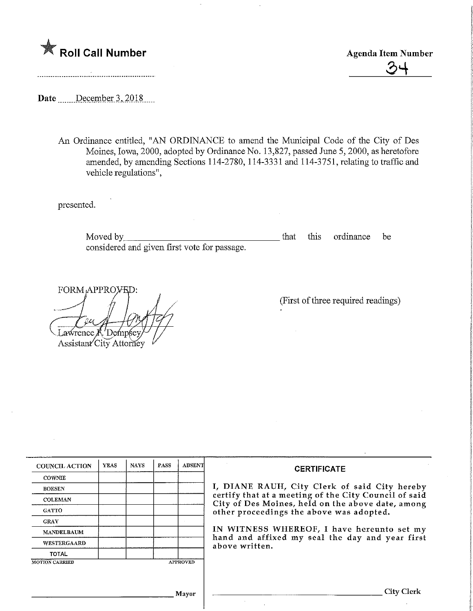

Roll Call Number<br>
Agenda Item Number<br>
24

Date \_\_\_\_\_\_December 3, 2018

An Ordinance entitled, "AN ORDINANCE to amend the Municipal Code of the City of Des Moines, Iowa, 2000, adopted by Ordinance No. 13,827, passed June 5,2000, as heretofore amended, by amending Sections 114-2780, 114-3331 and 114-3751, relating to traffic and vehicle regulations",

presented.

Moved by, considered and given first vote for passage. that this ordinance be

FORM<sub>\*</sub>APPRO<sub>y</sub><sub>E</sub>D: Lawrence K. Dempsey Assistant City Attorney

(First of three required readings)

| <b>COUNCIL ACTION</b> | <b>YEAS</b> | <b>NAYS</b> | PASS | <b>ABSENT</b>   | <b>CERTIFICATE</b>                                                                                                                                                                                                                                                                                                         |
|-----------------------|-------------|-------------|------|-----------------|----------------------------------------------------------------------------------------------------------------------------------------------------------------------------------------------------------------------------------------------------------------------------------------------------------------------------|
| <b>COWNIE</b>         |             |             |      |                 | I, DIANE RAUH, City Clerk of said City hereby<br>certify that at a meeting of the City Council of said<br>City of Des Moines, held on the above date, among<br>other proceedings the above was adopted.<br>IN WITNESS WHEREOF, I have hereunto set my<br>hand and affixed my seal the day and year first<br>above written. |
| <b>BOESEN</b>         |             |             |      |                 |                                                                                                                                                                                                                                                                                                                            |
| <b>COLEMAN</b>        |             |             |      |                 |                                                                                                                                                                                                                                                                                                                            |
| <b>GATTO</b>          |             |             |      |                 |                                                                                                                                                                                                                                                                                                                            |
| <b>GRAY</b>           |             |             |      |                 |                                                                                                                                                                                                                                                                                                                            |
| <b>MANDELBAUM</b>     |             |             |      |                 |                                                                                                                                                                                                                                                                                                                            |
| WESTERGAARD           |             |             |      |                 |                                                                                                                                                                                                                                                                                                                            |
| <b>TOTAL</b>          |             |             |      |                 |                                                                                                                                                                                                                                                                                                                            |
| <b>MOTION CARRIED</b> |             |             |      | <b>APPROVED</b> |                                                                                                                                                                                                                                                                                                                            |
|                       |             |             |      |                 |                                                                                                                                                                                                                                                                                                                            |
|                       |             |             |      |                 |                                                                                                                                                                                                                                                                                                                            |
|                       |             |             |      | Mavor           | City Clerk                                                                                                                                                                                                                                                                                                                 |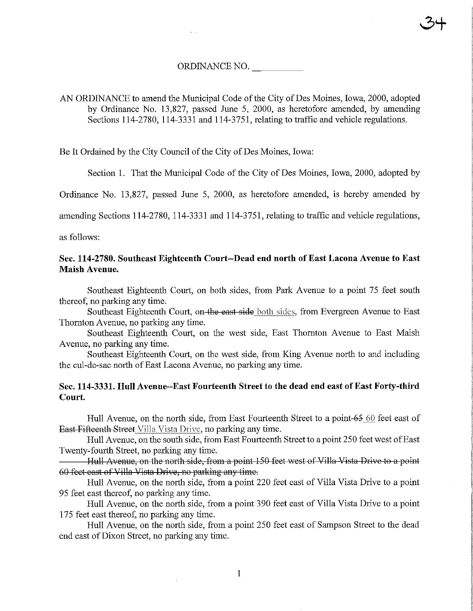#### ORDINANCE NO.

# AN ORDINANCE to amend the Municipal Code of the City of Des Moines, Iowa, 2000, adopted by Ordinance No. 13,827, passed June 5, 2000, as heretofore amended, by amending Sections 114-2780, 114-3331 and 114-3751, relating to traffic and vehicle regulations.

Be It Ordained by the City Council of the City of Des Moines, Iowa:

Section 1. That the Municipal Code of the City of Des Moines, Iowa, 2000, adopted by

3+

Ordinance No. 13,827, passed June 5, 2000, as heretofore amended, is hereby amended by

amending Sections 114-2780, 114-3331 and 114-3751, relating to traffic and vehicle regulations,

as follows:

## Sec. 114-2780. Southeast Eighteenth Court—Dead end north of East Lacona Avenue to East Maish Avenue.

Southeast Eighteenth Court, on both sides, from Park Avenue to a point 75 feet south thereof, no parking any time.

Southeast Eighteenth Court, on the east side both sides, from Evergreen Avenue to East Thomton Avenue, no parking any time.

Southeast Eighteenth Court, on the west side, East Thomton Avenue to East Maish Avenue, no parking any time.

Southeast Eighteenth Court, on the west side, from King Avenue north to and including the cul-de-sac north of East Lacona Avenue, no parking any time.

## Sec. 114-3331. Hull Avenue-East Fourteenth Street to the dead end east of East Forty-third Court

Hull Avenue, on the north side, from East Fourteenth Street to a point- $65\,60$  feet east of East Fifteenth Street Villa Vista Drive, no parking any time.

Hull Avenue, on the south side, from East Fourteenth Street to a point 250 feet west of East Twenty-fourth Street, no parking any time.

Hull Avenue, on the north side, from a point 150 feet west of Villa Vista Drive to a point 60 feet east of Villa Vista Drive, no parking any time.

Hull Avenue, on the north side, from a point 220 feet east of Villa Vista Drive to a point 95 feet east thereof, no parking any time.

Hull Avenue, on the north side, from a point 390 feet east of Villa Vista Drive to a point 175 feet east thereof, no parking any time.

Hull Avenue, on the north side, from a point 250 feet east of Sampson Sfreet to the dead end east of Dixon Street, no parking any time.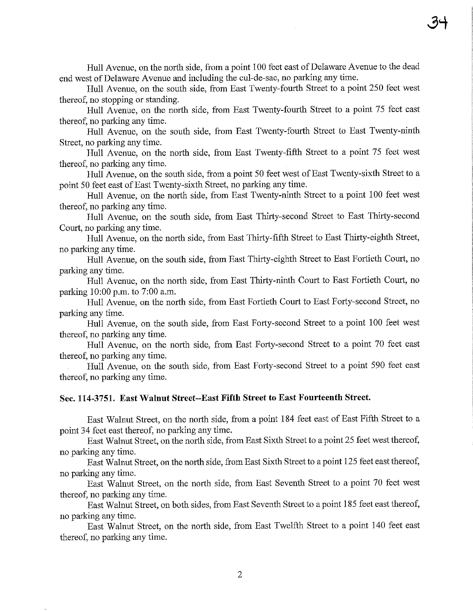Hull Avenue, on the north side, from a point 100 feet east of Delaware Avenue to the dead end west of Delaware Avenue and including the cul-de-sac, no parking any time.

Hull Avenue, on the south side, from East Twenty-fourth Street to a point 250 feet west thereof, no stopping or standing.

Hull Avenue, on the north side, from East Twenty-fourth Street to a point 75 feet east thereof, no parking any time.

Hull Avenue, on the south side, from East Twenty-fourth Street to East Twenty-ninth Street, no parking any time.

Hull Avenue, on the north side, from East Twenty-fifth Street to a point 75 feet west thereof, no parking any time.

Hull Avenue, on the south side, from a point 50 feet west of East Twenty-sixth Street to a point 50 feet east of East Twenty-sixth Street, no parking any time.

Hull Avenue, on the north side, from East Twenty-ninth Street to a point 100 feet west thereof, no parking any time.

Hull Avenue, on the south side, from East Thirty-second Street to East Thirty-second Court, no parking any time.

Hull Avenue, on the north side, from East Thirty-fifth Street to East Thirty-eighth Street, no parking any time.

Hull Avenue, on the south side, from East Thirty-eighth Street to East Fortieth Court, no parking any time.

Hull Avenue, on the north side, from East Thirty-ninth Court to East Fortieth Court, no parking 10:00 p.m. to 7:00 a.m.

Hull Avenue, on the north side, from East Fortiefh Court to Bast Forty-second Street, no parking any time.

Hull Avenue, on the south side, from East Forty-second Street to a point 100 feet west thereof, no parking any time.

Hull Avenue, on the north side, from East Forty-second Street to a point 70 feet east thereof, no parking any time.

Hull Avenue, on the south side, from East Forty-second Street to a point 590 feet east thereof, no parking any time.

#### Sec. 114-3751. East Walnut Street-East Fifth Street to East Fourteenth Street.

East Walnut Street, on the north side, from a point 184 feet east of East Fifth Street to a point 34 feet east thereof, no parking any time.

East Walnut Street, on the north side, from East Sixth Street to a point 25 feet west thereof, no parking any time.

East Walnut Street, on the north side, from East Sixth Street to a point 125 feet east thereof, no parking any time.

East Walnut Street, on the north side, from East Seventh Street to a point 70 feet west thereof, no parking any time.

East Walnut Street, on both sides, from East Seventh Street to a point 185 feet east thereof, no parking any time.

East Walnut Street, on the north side, from East Twelfth Street to a point 140 feet east thereof, no parking any time.